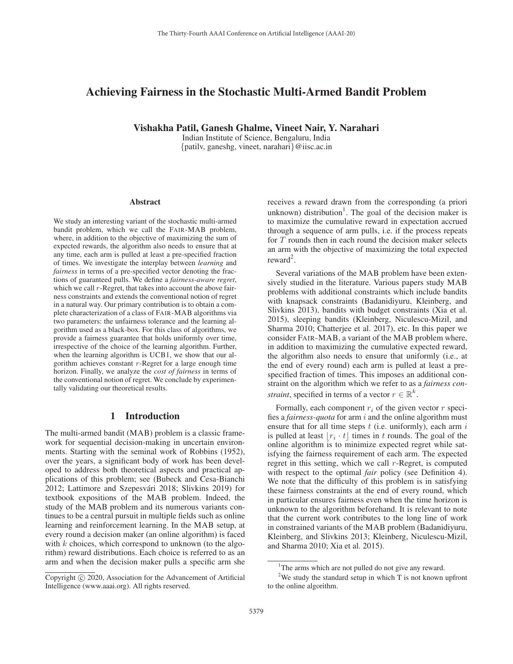# Achieving Fairness in the Stochastic Multi-Armed Bandit Problem

Vishakha Patil, Ganesh Ghalme, Vineet Nair, Y. Narahari

Indian Institute of Science, Bengaluru, India {patilv, ganeshg, vineet, narahari}@iisc.ac.in

#### Abstract

We study an interesting variant of the stochastic multi-armed bandit problem, which we call the FAIR-MAB problem, where, in addition to the objective of maximizing the sum of expected rewards, the algorithm also needs to ensure that at any time, each arm is pulled at least a pre-specified fraction of times. We investigate the interplay between *learning* and *fairness* in terms of a pre-specified vector denoting the fractions of guaranteed pulls. We define a *fairness-aware regret*, which we call r-Regret, that takes into account the above fairness constraints and extends the conventional notion of regret in a natural way. Our primary contribution is to obtain a complete characterization of a class of FAIR-MAB algorithms via two parameters: the unfairness tolerance and the learning algorithm used as a black-box. For this class of algorithms, we provide a fairness guarantee that holds uniformly over time, irrespective of the choice of the learning algorithm. Further, when the learning algorithm is UCB1, we show that our algorithm achieves constant  $r$ -Regret for a large enough time horizon. Finally, we analyze the *cost of fairness* in terms of the conventional notion of regret. We conclude by experimentally validating our theoretical results.

## 1 Introduction

The multi-armed bandit (MAB) problem is a classic framework for sequential decision-making in uncertain environments. Starting with the seminal work of Robbins (1952), over the years, a significant body of work has been developed to address both theoretical aspects and practical applications of this problem; see (Bubeck and Cesa-Bianchi 2012; Lattimore and Szepesvári 2018; Slivkins 2019) for textbook expositions of the MAB problem. Indeed, the study of the MAB problem and its numerous variants continues to be a central pursuit in multiple fields such as online learning and reinforcement learning. In the MAB setup, at every round a decision maker (an online algorithm) is faced with  $k$  choices, which correspond to unknown (to the algorithm) reward distributions. Each choice is referred to as an arm and when the decision maker pulls a specific arm she

receives a reward drawn from the corresponding (a priori unknown) distribution<sup>1</sup>. The goal of the decision maker is to maximize the cumulative reward in expectation accrued through a sequence of arm pulls, i.e. if the process repeats for  $T$  rounds then in each round the decision maker selects an arm with the objective of maximizing the total expected  $reward<sup>2</sup>$ .

Several variations of the MAB problem have been extensively studied in the literature. Various papers study MAB problems with additional constraints which include bandits with knapsack constraints (Badanidiyuru, Kleinberg, and Slivkins 2013), bandits with budget constraints (Xia et al. 2015), sleeping bandits (Kleinberg, Niculescu-Mizil, and Sharma 2010; Chatterjee et al. 2017), etc. In this paper we consider FAIR-MAB, a variant of the MAB problem where, in addition to maximizing the cumulative expected reward, the algorithm also needs to ensure that uniformly (i.e., at the end of every round) each arm is pulled at least a prespecified fraction of times. This imposes an additional constraint on the algorithm which we refer to as a *fairness constraint*, specified in terms of a vector  $r \in \mathbb{R}^k$ .

Formally, each component  $r_i$  of the given vector  $r$  specifies a *fairness-quota* for arm i and the online algorithm must ensure that for all time steps  $t$  (i.e. uniformly), each arm  $i$ is pulled at least  $|r_i \cdot t|$  times in t rounds. The goal of the online algorithm is to minimize expected regret while satisfying the fairness requirement of each arm. The expected regret in this setting, which we call r-Regret, is computed with respect to the optimal *fair* policy (see Definition 4). We note that the difficulty of this problem is in satisfying these fairness constraints at the end of every round, which in particular ensures fairness even when the time horizon is unknown to the algorithm beforehand. It is relevant to note that the current work contributes to the long line of work in constrained variants of the MAB problem (Badanidiyuru, Kleinberg, and Slivkins 2013; Kleinberg, Niculescu-Mizil, and Sharma 2010; Xia et al. 2015).

Copyright  $\odot$  2020, Association for the Advancement of Artificial Intelligence (www.aaai.org). All rights reserved.

<sup>&</sup>lt;sup>1</sup>The arms which are not pulled do not give any reward.

<sup>&</sup>lt;sup>2</sup>We study the standard setup in which T is not known upfront to the online algorithm.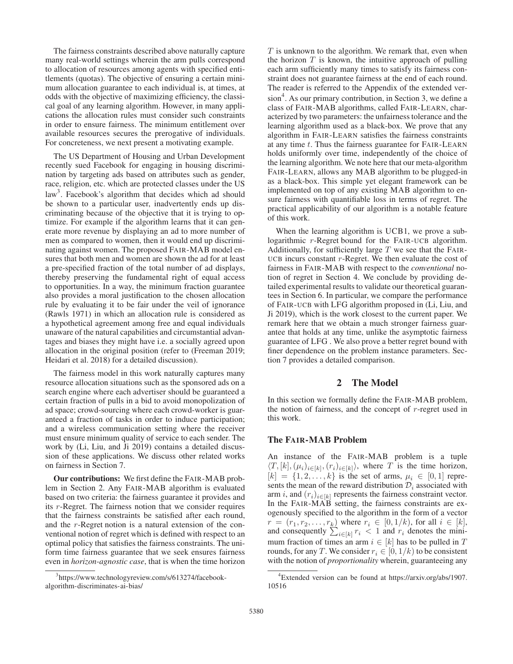The fairness constraints described above naturally capture many real-world settings wherein the arm pulls correspond to allocation of resources among agents with specified entitlements (quotas). The objective of ensuring a certain minimum allocation guarantee to each individual is, at times, at odds with the objective of maximizing efficiency, the classical goal of any learning algorithm. However, in many applications the allocation rules must consider such constraints in order to ensure fairness. The minimum entitlement over available resources secures the prerogative of individuals. For concreteness, we next present a motivating example.

The US Department of Housing and Urban Development recently sued Facebook for engaging in housing discrimination by targeting ads based on attributes such as gender, race, religion, etc. which are protected classes under the US law<sup>3</sup>. Facebook's algorithm that decides which ad should be shown to a particular user, inadvertently ends up discriminating because of the objective that it is trying to optimize. For example if the algorithm learns that it can generate more revenue by displaying an ad to more number of men as compared to women, then it would end up discriminating against women. The proposed FAIR-MAB model ensures that both men and women are shown the ad for at least a pre-specified fraction of the total number of ad displays, thereby preserving the fundamental right of equal access to opportunities. In a way, the minimum fraction guarantee also provides a moral justification to the chosen allocation rule by evaluating it to be fair under the veil of ignorance (Rawls 1971) in which an allocation rule is considered as a hypothetical agreement among free and equal individuals unaware of the natural capabilities and circumstantial advantages and biases they might have i.e. a socially agreed upon allocation in the original position (refer to (Freeman 2019; Heidari et al. 2018) for a detailed discussion).

The fairness model in this work naturally captures many resource allocation situations such as the sponsored ads on a search engine where each advertiser should be guaranteed a certain fraction of pulls in a bid to avoid monopolization of ad space; crowd-sourcing where each crowd-worker is guaranteed a fraction of tasks in order to induce participation; and a wireless communication setting where the receiver must ensure minimum quality of service to each sender. The work by (Li, Liu, and Ji 2019) contains a detailed discussion of these applications. We discuss other related works on fairness in Section 7.

Our contributions: We first define the FAIR-MAB problem in Section 2. Any FAIR-MAB algorithm is evaluated based on two criteria: the fairness guarantee it provides and its r-Regret. The fairness notion that we consider requires that the fairness constraints be satisfied after each round, and the r-Regret notion is a natural extension of the conventional notion of regret which is defined with respect to an optimal policy that satisfies the fairness constraints. The uniform time fairness guarantee that we seek ensures fairness even in *horizon-agnostic case*, that is when the time horizon

 $T$  is unknown to the algorithm. We remark that, even when the horizon  $T$  is known, the intuitive approach of pulling each arm sufficiently many times to satisfy its fairness constraint does not guarantee fairness at the end of each round. The reader is referred to the Appendix of the extended version<sup>4</sup>. As our primary contribution, in Section 3, we define a class of FAIR-MAB algorithms, called FAIR-LEARN, characterized by two parameters: the unfairness tolerance and the learning algorithm used as a black-box. We prove that any algorithm in FAIR-LEARN satisfies the fairness constraints at any time t. Thus the fairness guarantee for FAIR-LEARN holds uniformly over time, independently of the choice of the learning algorithm. We note here that our meta-algorithm FAIR-LEARN, allows any MAB algorithm to be plugged-in as a black-box. This simple yet elegant framework can be implemented on top of any existing MAB algorithm to ensure fairness with quantifiable loss in terms of regret. The practical applicability of our algorithm is a notable feature of this work.

When the learning algorithm is UCB1, we prove a sublogarithmic r-Regret bound for the FAIR-UCB algorithm. Additionally, for sufficiently large  $T$  we see that the FAIR-UCB incurs constant  $r$ -Regret. We then evaluate the cost of fairness in FAIR-MAB with respect to the *conventional* notion of regret in Section 4. We conclude by providing detailed experimental results to validate our theoretical guarantees in Section 6. In particular, we compare the performance of FAIR-UCB with LFG algorithm proposed in (Li, Liu, and Ji 2019), which is the work closest to the current paper. We remark here that we obtain a much stronger fairness guarantee that holds at any time, unlike the asymptotic fairness guarantee of LFG . We also prove a better regret bound with finer dependence on the problem instance parameters. Section 7 provides a detailed comparison.

## 2 The Model

In this section we formally define the FAIR-MAB problem, the notion of fairness, and the concept of  $r$ -regret used in this work.

### The FAIR-MAB Problem

An instance of the FAIR-MAB problem is a tuple  $\langle T, [k], (\mu_i)_{i \in [k]}, (r_i)_{i \in [k]} \rangle$ , where T is the time horizon,  $[k] = \{1, 2, \ldots, k\}$  is the set of arms,  $\mu_i \in [0, 1]$  represents the mean of the reward distribution  $\mathcal{D}_i$  associated with arm i, and  $(r_i)_{i \in [k]}$  represents the fairness constraint vector. In the FAIR-MAB setting, the fairness constraints are exogenously specified to the algorithm in the form of a vector  $r = (r_1, r_2, \dots, r_k)$  where  $r_i \in [0, 1/k)$ , for all  $i \in [k]$ ,<br>and consequently  $\sum_{i \in [k]} r_i < 1$  and  $r_i$  denotes the mini-<br>mum fraction of time an arm  $i \in [k]$  has to be nulled in T. mum fraction of times an arm  $i \in [k]$  has to be pulled in T rounds, for any T. We consider  $r_i \in [0, 1/k)$  to be consistent with the notion of *proportionality* wherein, guaranteeing any

<sup>3</sup> https://www.technologyreview.com/s/613274/facebookalgorithm-discriminates-ai-bias/

<sup>4</sup> Extended version can be found at https://arxiv.org/abs/1907. 10516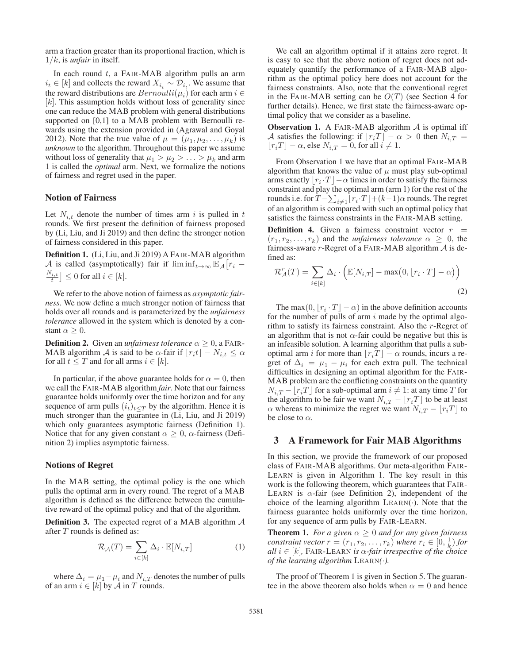arm a fraction greater than its proportional fraction, which is 1/k, is *unfair* in itself.

In each round  $t$ , a FAIR-MAB algorithm pulls an arm  $i_t \in [k]$  and collects the reward  $X_{i_t} \sim \mathcal{D}_{i_t}$ . We assume that the reward distributions are  $Bernoulli(\mu_i)$  for each arm  $i \in$  $[k]$ . This assumption holds without loss of generality since one can reduce the MAB problem with general distributions supported on [0,1] to a MAB problem with Bernoulli rewards using the extension provided in (Agrawal and Goyal 2012). Note that the true value of  $\mu = (\mu_1, \mu_2, \dots, \mu_k)$  is *unknown* to the algorithm. Throughout this paper we assume without loss of generality that  $\mu_1 > \mu_2 > \ldots > \mu_k$  and arm 1 is called the *optimal* arm. Next, we formalize the notions of fairness and regret used in the paper.

## Notion of Fairness

Let  $N_{i,t}$  denote the number of times arm i is pulled in t rounds. We first present the definition of fairness proposed by (Li, Liu, and Ji 2019) and then define the stronger notion of fairness considered in this paper.

Definition 1. (Li, Liu, and Ji 2019) A FAIR-MAB algorithm A is called (asymptotically) fair if  $\liminf_{t\to\infty} \mathbb{E}_{\mathcal{A}}[r_i - N_{i+1}] \leq 0.5$  $\left[\frac{N_{i,t}}{t}\right] \leq 0$  for all  $i \in [k]$ .

We refer to the above notion of fairness as *asymptotic fairness*. We now define a much stronger notion of fairness that holds over all rounds and is parameterized by the *unfairness tolerance* allowed in the system which is denoted by a constant  $\alpha \geq 0$ .

**Definition 2.** Given an *unfairness tolerance*  $\alpha > 0$ , a FAIR-MAB algorithm A is said to be  $\alpha$ -fair if  $|r_i t | - N_{i,t} \leq \alpha$ for all  $t \leq T$  and for all arms  $i \in [k]$ .

In particular, if the above guarantee holds for  $\alpha = 0$ , then we call the FAIR-MAB algorithm *fair*. Note that our fairness guarantee holds uniformly over the time horizon and for any sequence of arm pulls  $(i_t)_{t \leq T}$  by the algorithm. Hence it is much stronger than the guarantee in (Li, Liu, and Ji 2019) which only guarantees asymptotic fairness (Definition 1). Notice that for any given constant  $\alpha \geq 0$ ,  $\alpha$ -fairness (Definition 2) implies asymptotic fairness.

### Notions of Regret

In the MAB setting, the optimal policy is the one which pulls the optimal arm in every round. The regret of a MAB algorithm is defined as the difference between the cumulative reward of the optimal policy and that of the algorithm.

**Definition 3.** The expected regret of a MAB algorithm  $\mathcal A$ after  $T$  rounds is defined as:

$$
\mathcal{R}_{\mathcal{A}}(T) = \sum_{i \in [k]} \Delta_i \cdot \mathbb{E}[N_{i,T}] \tag{1}
$$

where  $\Delta_i = \mu_1 - \mu_i$  and  $N_{i,T}$  denotes the number of pulls of an arm  $i \in [k]$  by  $A$  in  $T$  rounds.

We call an algorithm optimal if it attains zero regret. It is easy to see that the above notion of regret does not adequately quantify the performance of a FAIR-MAB algorithm as the optimal policy here does not account for the fairness constraints. Also, note that the conventional regret in the FAIR-MAB setting can be  $O(T)$  (see Section 4 for further details). Hence, we first state the fairness-aware optimal policy that we consider as a baseline.

**Observation 1.** A FAIR-MAB algorithm  $A$  is optimal iff A satisfies the following: if  $r_iT$  –  $\alpha > 0$  then  $N_{i,T}$  =  $\lfloor r_i T \rfloor - \alpha$ , else  $N_{i,T} = 0$ , for all  $i \neq 1$ .

From Observation 1 we have that an optimal FAIR-MAB algorithm that knows the value of  $\mu$  must play sub-optimal arms exactly  $|r_i \cdot T| - \alpha$  times in order to satisfy the fairness constraint and play the optimal arm (arm 1) for the rest of the rounds i.e. for  $T - \sum_{i \neq 1} [r_i \cdot T] + (k-1)\alpha$  rounds. The regret<br>of an algorithm is compared with such an optimal policy that of an algorithm is compared with such an optimal policy that satisfies the fairness constraints in the FAIR-MAB setting.

**Definition 4.** Given a fairness constraint vector  $r =$  $(r_1, r_2,...,r_k)$  and the *unfairness tolerance*  $\alpha \geq 0$ , the fairness-aware  $r$ -Regret of a FAIR-MAB algorithm  $A$  is defined as:

$$
\mathcal{R}_{\mathcal{A}}^{r}(T) = \sum_{i \in [k]} \Delta_i \cdot \left( \mathbb{E}[N_{i,T}] - \max(0, \lfloor r_i \cdot T \rfloor - \alpha) \right)
$$
\n(2)

The max(0,  $|r_i \cdot T| - \alpha$ ) in the above definition accounts for the number of pulls of arm  $i$  made by the optimal algorithm to satisfy its fairness constraint. Also the r-Regret of an algorithm that is not  $\alpha$ -fair could be negative but this is an infeasible solution. A learning algorithm that pulls a suboptimal arm i for more than  $\lfloor r_i T \rfloor - \alpha$  rounds, incurs a regret of  $\Delta_i = \mu_1 - \mu_i$  for each extra pull. The technical difficulties in designing an optimal algorithm for the FAIR-MAB problem are the conflicting constraints on the quantity  $N_{i,T} - [r_i]$  for a sub-optimal arm  $i \neq 1$ : at any time T for<br>the algorithm to be fair we want  $N_{i,T} - [r_i]$  to be at least the algorithm to be fair we want  $N_{i,T} - |r_iT|$  to be at least  $\alpha$  whereas to minimize the regret we want  $N_{i,T} - [r_i]$  to be close to  $\alpha$ .

## 3 A Framework for Fair MAB Algorithms

In this section, we provide the framework of our proposed class of FAIR-MAB algorithms. Our meta-algorithm FAIR-LEARN is given in Algorithm 1. The key result in this work is the following theorem, which guarantees that FAIR-LEARN is  $\alpha$ -fair (see Definition 2), independent of the choice of the learning algorithm  $LEARN(\cdot)$ . Note that the fairness guarantee holds uniformly over the time horizon, for any sequence of arm pulls by FAIR-LEARN.

**Theorem 1.** *For a given*  $\alpha \geq 0$  *and for any given fairness constraint vector*  $r = (r_1, r_2, \ldots, r_k)$  *where*  $r_i \in [0, \frac{1}{k})$  *for all*  $i \in [k]$  **FAIR-LEARN** *is*  $\alpha$ *-fair irrespective of the choice all*  $i \in [k]$ , FAIR-LEARN *is*  $\alpha$ -*fair irrespective of the choice of the learning algorithm*  $LEARN(\cdot)$ .

The proof of Theorem 1 is given in Section 5. The guarantee in the above theorem also holds when  $\alpha = 0$  and hence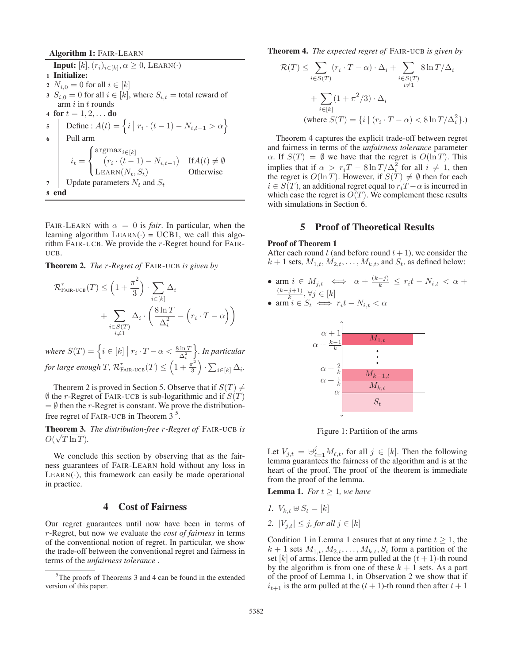Algorithm 1: FAIR-LEARN

**Input:**  $[k], (r_i)_{i \in [k]}, \alpha \geq 0$ , LEARN(·) 1 Initialize: 2  $N_{i,0} = 0$  for all  $i \in [k]$ 3  $S_{i,0} = 0$  for all  $i \in [k]$ , where  $S_{i,t} =$  total reward of arm  $i$  in  $t$  rounds 4 **for**  $t = 1, 2, ...$  **do**<br>5 **Define** :  $A(t) =$ 5 Define :  $A(t) = \left\{ i \mid r_i \cdot (t-1) - N_{i,t-1} > \alpha \right\}$ 6 Pull arm  $i_t =$  $\sqrt{ }$  $\overline{J}$  $\sqrt{2}$  $\begin{array}{lll} \arg \max_{i \in [k]} & (r_i \cdot (t-1) - N_{i,t-1}) & \text{If} A(t) \neq \emptyset \end{array}$ LEARN( $N_t$ ,  $S_t$ ) Otherwise 7 | Update parameters  $N_t$  and  $S_t$ 8 end

FAIR-LEARN with  $\alpha = 0$  is *fair*. In particular, when the learning algorithm  $LEARN() = UCB1$ , we call this algorithm FAIR-UCB. We provide the r-Regret bound for FAIR-UCB.

Theorem 2. *The* r*-Regret of* FAIR-UCB *is given by*

$$
\mathcal{R}_{\text{FAIR-UCB}}^r(T) \le \left(1 + \frac{\pi^2}{3}\right) \cdot \sum_{i \in [k]} \Delta_i
$$

$$
+ \sum_{\substack{i \in S(T) \\ i \neq 1}} \Delta_i \cdot \left(\frac{8 \ln T}{\Delta_i^2} - \left(r_i \cdot T - \alpha\right)\right)
$$

where  $S(T) = \left\{ i \in [k] \mid r_i \cdot T - \alpha < \frac{8 \ln T}{\Delta_i^2} \right\}$  *. In particular*  $for large enough T, \, \mathcal{R}_{\text{FAIR-UCB}}^{r}(T) \leq \left(1 + \frac{\pi^2}{3}\right) \cdot \sum_{i \in [k]} \Delta_i.$ 

Theorem 2 is proved in Section 5. Observe that if  $S(T) \neq$  $\emptyset$  the r-Regret of FAIR-UCB is sub-logarithmic and if  $S(T)$ <br>=  $\emptyset$  then the r-Regret is constant. We prove the distribution- $=$  Ø then the r-Regret is constant. We prove the distributionfree regret of FAIR-UCB in Theorem  $3<sup>5</sup>$ .

Theorem 3. *The distribution-free* r*-Regret of* FAIR-UCB *is* √  $O(\sqrt{T \ln T})$ .

We conclude this section by observing that as the fairness guarantees of FAIR-LEARN hold without any loss in  $LEARN(\cdot)$ , this framework can easily be made operational in practice.

## 4 Cost of Fairness

Our regret guarantees until now have been in terms of r-Regret, but now we evaluate the *cost of fairness* in terms of the conventional notion of regret. In particular, we show the trade-off between the conventional regret and fairness in terms of the *unfairness tolerance* .

Theorem 4. *The expected regret of* FAIR-UCB *is given by*

$$
\mathcal{R}(T) \leq \sum_{i \in S(T)} (r_i \cdot T - \alpha) \cdot \Delta_i + \sum_{\substack{i \in S(T) \\ i \neq 1}} 8 \ln T / \Delta_i
$$

$$
+ \sum_{i \in [k]} (1 + \pi^2 / 3) \cdot \Delta_i
$$

$$
(\text{where } S(T) = \{ i \mid (r_i \cdot T - \alpha) < 8 \ln T / \Delta_i^2 \}.)
$$

Theorem 4 captures the explicit trade-off between regret and fairness in terms of the *unfairness tolerance* parameter  $\alpha$ . If  $S(T) = \emptyset$  we have that the regret is  $O(\ln T)$ . This implies that if  $\alpha > r_i T - 8 \ln T / \Delta_i^2$  for all  $i \neq 1$ , then the regret is  $O(\ln T)$ . However if  $S(T) \neq \emptyset$  then for each the regret is  $O(\ln T)$ . However, if  $S(T) \neq \emptyset$  then for each  $i \in S(T)$  an additional regret equal to  $r \cdot T - \alpha$  is incurred in  $i \in S(T)$ , an additional regret equal to  $r_iT - \alpha$  is incurred in which case the regret is  $O(T)$ . We complement these results with simulations in Section 6.

## 5 Proof of Theoretical Results

#### Proof of Theorem 1

After each round t (and before round  $t + 1$ ), we consider the  $k + 1$  sets,  $M_{1,t}, M_{2,t}, \ldots, M_{k,t}$ , and  $S_t$ , as defined below:

• arm  $i \in M_{j,t} \iff \alpha + \frac{(k-j)}{k} \leq r_i t - N_{i,t} < \alpha +$  $\bullet$   $\frac{(k-j+1)}{k}, \forall j \in [k]$ <br>  $\bullet$  arm  $i \in S_t$  ⇔  $r_i t - N_{i,t} < \alpha$ 

• arm 
$$
i \in S_t \iff r_i t - N_{i,t} < \alpha
$$



Figure 1: Partition of the arms

Let  $V_{j,t} = \biguplus_{\ell=1}^{j} M_{\ell,t}$ , for all  $j \in [k]$ . Then the following lemma guarantees the fairness of the algorithm and is at the lemma guarantees the fairness of the algorithm and is at the heart of the proof. The proof of the theorem is immediate from the proof of the lemma.

**Lemma 1.** *For*  $t \geq 1$ *, we have* 

- *1.*  $V_{k}$  +  $\,\,\forall B_f = [k]$
- 2.  $|V_{i,t}| \leq j$ , for all  $j \in [k]$

Condition 1 in Lemma 1 ensures that at any time  $t \geq 1$ , the  $k + 1$  sets  $M_{1,t}, M_{2,t}, \ldots, M_{k,t}, S_t$  form a partition of the set [k] of arms. Hence the arm pulled at the  $(t + 1)$ -th round by the algorithm is from one of these  $k + 1$  sets. As a part of the proof of Lemma 1, in Observation 2 we show that if  $i_{t+1}$  is the arm pulled at the  $(t + 1)$ -th round then after  $t + 1$ 

<sup>&</sup>lt;sup>5</sup>The proofs of Theorems 3 and 4 can be found in the extended version of this paper.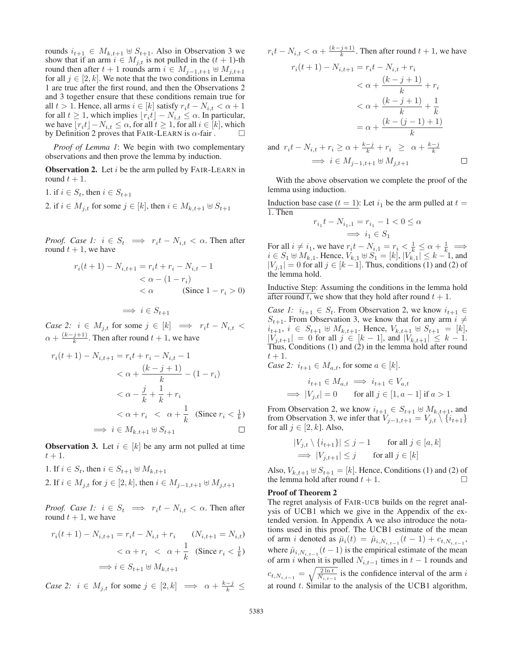rounds  $i_{t+1} \in M_{k,t+1} \oplus S_{t+1}$ . Also in Observation 3 we show that if an arm  $i \in M_{i,t}$  is not pulled in the  $(t + 1)$ -th round then after  $t + 1$  rounds arm  $i \in M_{i-1,t+1} \oplus M_{i,t+1}$ for all  $j \in [2, k]$ . We note that the two conditions in Lemma 1 are true after the first round, and then the Observations 2 and 3 together ensure that these conditions remain true for all  $t > 1$ . Hence, all arms  $i \in [k]$  satisfy  $r_i t - N_{i,t} < \alpha + 1$ for all  $t \geq 1$ , which implies  $\lfloor r_i t \rfloor - N_{i,t} \leq \alpha$ . In particular, we have  $\lfloor r_i t \rfloor - N_{i,t} \leq \alpha$ , for all  $t \geq 1$ , for all  $i \in [k]$ , which by Definition 2 proves that FAIR-LEARN is  $\alpha$ -fair.

*Proof of Lemma 1*: We begin with two complementary observations and then prove the lemma by induction.

**Observation 2.** Let  $i$  be the arm pulled by FAIR-LEARN in round  $t + 1$ .

1. if 
$$
i \in S_t
$$
, then  $i \in S_{t+1}$   
2. if  $i \in M_{j,t}$  for some  $j \in [k]$ , then  $i \in M_{k,t+1} \uplus S_{t+1}$ 

*Proof. Case 1:*  $i \in S_t \implies r_i t - N_{i,t} < \alpha$ . Then after round  $t + 1$ , we have

$$
r_i(t+1) - N_{i,t+1} = r_i t + r_i - N_{i,t} - 1
$$
  

$$
< \alpha - (1 - r_i)
$$
  

$$
< \alpha
$$
 (Since  $1 - r_i > 0$ )

$$
\implies i \in S_{t+1}
$$

*Case 2:*  $i \in M_{j,t}$  for some  $j \in [k] \implies r_i t - N_{i,t} <$  $\alpha + \frac{(k-j+1)}{k}$ . Then after round  $t + 1$ , we have

$$
r_i(t+1) - N_{i,t+1} = r_i t + r_i - N_{i,t} - 1
$$
  

$$
< \alpha + \frac{(k-j+1)}{k} - (1 - r_i)
$$
  

$$
< \alpha - \frac{j}{k} + \frac{1}{k} + r_i
$$
  

$$
< \alpha + r_i < \alpha + \frac{1}{k} \text{ (Since } r_i < \frac{1}{k})
$$
  

$$
\implies i \in M_{k,t+1} \oplus S_{t+1} \square
$$

**Observation 3.** Let  $i \in [k]$  be any arm not pulled at time  $t+1$ .

- 1. If  $i \in S_t$ , then  $i \in S_{t+1} \oplus M_{k,t+1}$
- 2. If  $i \in M_{j,t}$  for  $j \in [2, k]$ , then  $i \in M_{j-1,t+1} \oplus M_{j,t+1}$

*Proof. Case 1:*  $i \in S_t \implies r_i t - N_{i,t} < \alpha$ . Then after round  $t + 1$ , we have

$$
r_i(t+1) - N_{i,t+1} = r_i t - N_{i,t} + r_i \qquad (N_{i,t+1} = N_{i,t})
$$
  

$$
< \alpha + r_i \ < \ \alpha + \frac{1}{k} \quad (\text{Since } r_i < \frac{1}{k})
$$
  

$$
\implies i \in S_{t+1} \oplus M_{k,t+1}
$$

*Case 2:*  $i \in M_{j,t}$  for some  $j \in [2, k] \implies \alpha + \frac{k-j}{k} \leq$ 

 $r_i t - N_{i,t} < \alpha + \frac{(k-j+1)}{k}$ . Then after round  $t + 1$ , we have

$$
r_i(t+1) - N_{i,t+1} = r_i t - N_{i,t} + r_i
$$
  
\n
$$
< \alpha + \frac{(k-j+1)}{k} + r_i
$$
  
\n
$$
< \alpha + \frac{(k-j+1)}{k} + \frac{1}{k}
$$
  
\n
$$
= \alpha + \frac{(k-(j-1)+1)}{k}
$$
  
\nand 
$$
r_i t - N_{i,t} + r_i \ge \alpha + \frac{k-j}{k} + r_i \ge \alpha + \frac{k-j}{k}
$$
  
\n
$$
\implies i \in M_{i-1,t+1} \oplus M_{i,t+1}
$$

With the above observation we complete the proof of the lemma using induction.

Induction base case  $(t = 1)$ : Let  $i_1$  be the arm pulled at  $t =$ 1. Then

$$
r_{i_1}t - N_{i_1,1} = r_{i_1} - 1 < 0 \le \alpha
$$
\n
$$
\implies i_1 \in S_1
$$

 $\Rightarrow i_1 \in S_1$ <br>For all  $i \neq i_1$ , we have  $r_i t - N_{i,1} = r_i < \frac{1}{k} \leq \alpha + \frac{1}{k} \Rightarrow i \in S_1 \oplus M_{i-1}$ . Hence  $V_{i-1} \oplus S_2 = [k] \cup V_{i-1} < k-1$  and  $i \in S_1 \oplus M_{k,1}$ . Hence,  $V_{k,1} \oplus S_1 = [k], |V_{k,1}| \leq k - 1$ , and  $|V_{k,1}| = 0$  for all  $i \in [k-1]$ . Thus, conditions (1) and (2) of  $|V_{j,1}| = 0$  for all  $j \in [k-1]$ . Thus, conditions (1) and (2) of the lemma hold the lemma hold.

Inductive Step: Assuming the conditions in the lemma hold after round t, we show that they hold after round  $t + 1$ .

*Case 1:*  $i_{t+1} \in S_t$ . From Observation 2, we know  $i_{t+1} \in$  $S_{t+1}$ . From Observation 3, we know that for any arm  $i \neq$  $i_{t+1}, i \in S_{t+1} \oplus M_{k,t+1}$ . Hence,  $V_{k,t+1} \oplus S_{t+1} = [k],$ <br> $|V_{t,t+1}| = 0$  for all  $j \in [k-1]$  and  $|V_{t,t+1}| \leq k-1$  $|V_{j,t+1}| = 0$  for all  $j \in [k-1]$ , and  $|V_{k,t+1}| \leq k-1$ .<br>Thus Conditions (1) and (2) in the lemma hold after round Thus, Conditions (1) and (2) in the lemma hold after round  $t+1$ .

*Case 2:*  $i_{t+1} \in M_{a,t}$ , for some  $a \in [k]$ .

$$
i_{t+1} \in M_{a,t} \implies i_{t+1} \in V_{a,t}
$$
  
\n
$$
\implies |V_{j,t}| = 0 \quad \text{for all } j \in [1, a-1] \text{ if } a > 1
$$

From Observation 2, we know  $i_{t+1} \in S_{t+1} \oplus M_{k,t+1}$ , and from Observation 3, we infer that  $V_{i-1,t+1} = V_{i,t} \setminus \{i_{t+1}\}\$ for all  $j \in [2, k]$ . Also,

$$
|V_{j,t} \setminus \{i_{t+1}\}| \leq j - 1 \quad \text{for all } j \in [a, k]
$$
  
\n
$$
\implies |V_{j,t+1}| \leq j \quad \text{for all } j \in [k]
$$

Also,  $V_{k,t+1} \oplus S_{t+1} = [k]$ . Hence, Conditions (1) and (2) of the lemma hold after round  $t + 1$ . the lemma hold after round  $t + 1$ .

#### Proof of Theorem 2

The regret analysis of FAIR-UCB builds on the regret analysis of UCB1 which we give in the Appendix of the extended version. In Appendix A we also introduce the notations used in this proof. The UCB1 estimate of the mean of arm *i* denoted as  $\bar{\mu}_i(t) = \hat{\mu}_{i,N_{i,t-1}} (t - 1) + c_{t,N_{i,t-1}}$ , where  $\hat{\mu}_{i,N_{i,t-1}}(t-1)$  is the empirical estimate of the mean of arm *i* when it is pulled  $N_{i,t-1}$  times in  $t-1$  rounds and  $c_{t,N_{i,t-1}} = \sqrt{\frac{2 \ln t}{N_{i,t-1}}}$  $\frac{2 \ln t}{N_{i,t-1}}$  is the confidence interval of the arm i at round  $t$ . Similar to the analysis of the UCB1 algorithm,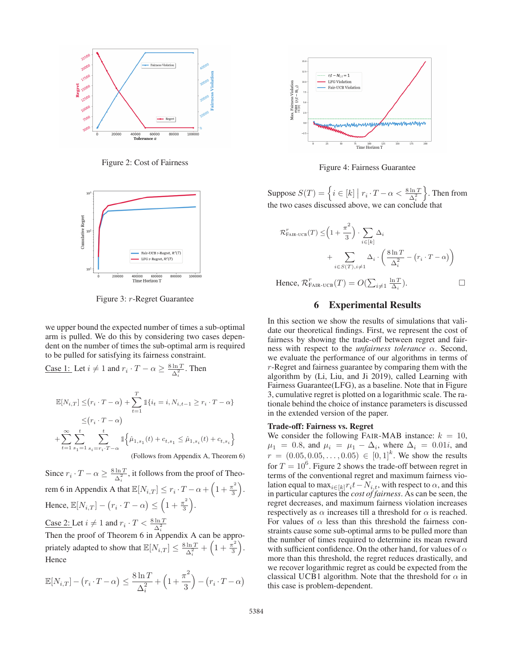

Figure 2: Cost of Fairness



Figure 3: r-Regret Guarantee

we upper bound the expected number of times a sub-optimal arm is pulled. We do this by considering two cases dependent on the number of times the sub-optimal arm is required to be pulled for satisfying its fairness constraint.

Case 1: Let 
$$
i \neq 1
$$
 and  $r_i \cdot T - \alpha \geq \frac{8 \ln T}{\Delta_i^2}$ . Then  
\n
$$
\mathbb{E}[N_{i,T}] \leq (r_i \cdot T - \alpha) + \sum_{t=1}^T \mathbb{1}\{i_t = i, N_{i,t-1} \geq r_i \cdot T - \alpha\}
$$
\n
$$
\leq (r_i \cdot T - \alpha)
$$
\n
$$
+ \sum_{t=1}^\infty \sum_{s_1=1}^t \sum_{s_i = r_i \cdot T - \alpha} \mathbb{1}\left\{\hat{\mu}_{1,s_1}(t) + c_{t,s_1} \leq \hat{\mu}_{1,s_i}(t) + c_{t,s_i}\right\}
$$
\n(Follows from Appendix A, Theorem 6)

Since  $r_i \cdot T - \alpha \ge \frac{8 \ln T}{\Delta_i^2}$ , it follows from the proof of Theorem 6 in Appendix A that  $\mathbb{E}[N_{i,T}] \leq r_i \cdot T - \alpha + \left(1 + \frac{\pi^2}{3}\right)$ . Hence,  $\mathbb{E}[N_{i,T}] - (r_i \cdot T - \alpha) \leq \left(1 + \frac{\pi^2}{3}\right).$ 

Case 2: Let  $i \neq 1$  and  $r_i \cdot T < \frac{8 \ln T}{\Delta_i^2}$ <br>Then the proof of Theorem 6 in Appendix A can be appropriately adapted to show that  $\mathbb{E}[N_{i,T}] \leq \frac{8 \ln T}{\Delta_i^2} +$  $\left(1+\frac{\pi^2}{3}\right)$ . Hence

$$
\mathbb{E}[N_{i,T}] - (r_i \cdot T - \alpha) \le \frac{8 \ln T}{\Delta_i^2} + \left(1 + \frac{\pi^2}{3}\right) - (r_i \cdot T - \alpha)
$$



Figure 4: Fairness Guarantee

Suppose  $S(T) = \left\{ i \in [k] \mid r_i \cdot T - \alpha < \frac{8 \ln T}{\Delta_i^2} \right\}$  . Then from the two cases discussed above, we can conclude that

$$
\mathcal{R}_{\text{FAIR-UCB}}^{r}(T) \leq \left(1 + \frac{\pi^{2}}{3}\right) \cdot \sum_{i \in [k]} \Delta_{i}
$$
\n
$$
+ \sum_{i \in S(T), i \neq 1} \Delta_{i} \cdot \left(\frac{8 \ln T}{\Delta_{i}^{2}} - \left(r_{i} \cdot T - \alpha\right)\right)
$$
\nHence,  $\mathcal{R}_{\text{FAIR-UCB}}^{r}(T) = O\left(\sum_{i \neq 1} \frac{\ln T}{\Delta_{i}}\right).$ 

Hence,  $\mathcal{R}_{\text{FAIR-UCB}}^r(T) = O(\sum_{i \neq 1} \frac{\ln T}{\Delta_i})$ 

### 6 Experimental Results

In this section we show the results of simulations that validate our theoretical findings. First, we represent the cost of fairness by showing the trade-off between regret and fairness with respect to the *unfairness tolerance* α. Second, we evaluate the performance of our algorithms in terms of r-Regret and fairness guarantee by comparing them with the algorithm by (Li, Liu, and Ji 2019), called Learning with Fairness Guarantee(LFG), as a baseline. Note that in Figure 3, cumulative regret is plotted on a logarithmic scale. The rationale behind the choice of instance parameters is discussed in the extended version of the paper.

#### Trade-off: Fairness vs. Regret

We consider the following FAIR-MAB instance:  $k = 10$ ,  $\mu_1 = 0.8$ , and  $\mu_i = \mu_1 - \Delta_i$ , where  $\Delta_i = 0.01i$ , and  $\mu_i = (0.05, 0.05, 0.05) \in [0, 1]^k$ . We show the results  $r = (0.05, 0.05, \dots, 0.05) \in [0, 1]^k$ . We show the results for  $T = 10^6$ . Figure 2 shows the trade off between regret in for  $T = 10^6$ . Figure 2 shows the trade-off between regret in terms of the conventional regret and maximum fairness vioterms of the conventional regret and maximum fairness violation equal to max<sub>i∈[k]</sub>r<sub>i</sub>t – N<sub>i,t</sub>, with respect to  $\alpha$ , and this in particular captures the *cost of fairness*. As can be seen, the regret decreases, and maximum fairness violation increases respectively as  $\alpha$  increases till a threshold for  $\alpha$  is reached. For values of  $\alpha$  less than this threshold the fairness constraints cause some sub-optimal arms to be pulled more than the number of times required to determine its mean reward with sufficient confidence. On the other hand, for values of  $\alpha$ more than this threshold, the regret reduces drastically, and we recover logarithmic regret as could be expected from the classical UCB1 algorithm. Note that the threshold for  $\alpha$  in this case is problem-dependent.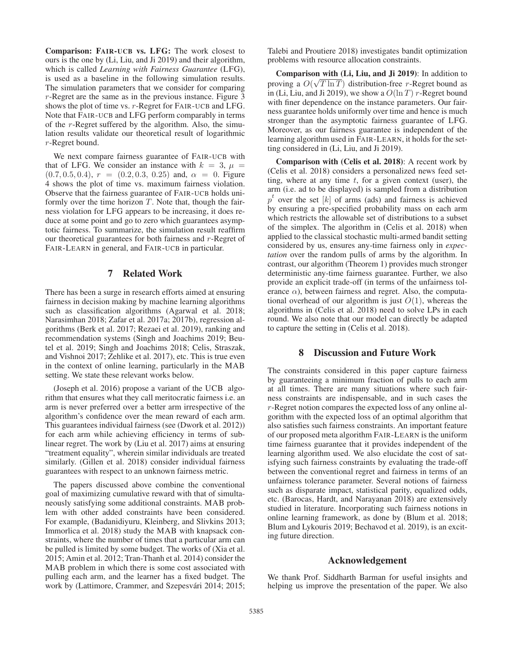Comparison: FAIR-UCB vs. LFG: The work closest to ours is the one by (Li, Liu, and Ji 2019) and their algorithm, which is called *Learning with Fairness Guarantee* (LFG), is used as a baseline in the following simulation results. The simulation parameters that we consider for comparing r-Regret are the same as in the previous instance. Figure 3 shows the plot of time vs. r-Regret for FAIR-UCB and LFG. Note that FAIR-UCB and LFG perform comparably in terms of the r-Regret suffered by the algorithm. Also, the simulation results validate our theoretical result of logarithmic r-Regret bound.

We next compare fairness guarantee of FAIR-UCB with that of LFG. We consider an instance with  $k = 3$ ,  $\mu =$  $(0.7, 0.5, 0.4), r = (0.2, 0.3, 0.25)$  and,  $\alpha = 0$ . Figure 4 shows the plot of time vs. maximum fairness violation. Observe that the fairness guarantee of FAIR-UCB holds uniformly over the time horizon  $T$ . Note that, though the fairness violation for LFG appears to be increasing, it does reduce at some point and go to zero which guarantees asymptotic fairness. To summarize, the simulation result reaffirm our theoretical guarantees for both fairness and r-Regret of FAIR-LEARN in general, and FAIR-UCB in particular.

## 7 Related Work

There has been a surge in research efforts aimed at ensuring fairness in decision making by machine learning algorithms such as classification algorithms (Agarwal et al. 2018; Narasimhan 2018; Zafar et al. 2017a; 2017b), regression algorithms (Berk et al. 2017; Rezaei et al. 2019), ranking and recommendation systems (Singh and Joachims 2019; Beutel et al. 2019; Singh and Joachims 2018; Celis, Straszak, and Vishnoi 2017; Zehlike et al. 2017), etc. This is true even in the context of online learning, particularly in the MAB setting. We state these relevant works below.

(Joseph et al. 2016) propose a variant of the UCB algorithm that ensures what they call meritocratic fairness i.e. an arm is never preferred over a better arm irrespective of the algorithm's confidence over the mean reward of each arm. This guarantees individual fairness (see (Dwork et al. 2012)) for each arm while achieving efficiency in terms of sublinear regret. The work by (Liu et al. 2017) aims at ensuring "treatment equality", wherein similar individuals are treated similarly. (Gillen et al. 2018) consider individual fairness guarantees with respect to an unknown fairness metric.

The papers discussed above combine the conventional goal of maximizing cumulative reward with that of simultaneously satisfying some additional constraints. MAB problem with other added constraints have been considered. For example, (Badanidiyuru, Kleinberg, and Slivkins 2013; Immorlica et al. 2018) study the MAB with knapsack constraints, where the number of times that a particular arm can be pulled is limited by some budget. The works of (Xia et al. 2015; Amin et al. 2012; Tran-Thanh et al. 2014) consider the MAB problem in which there is some cost associated with pulling each arm, and the learner has a fixed budget. The work by (Lattimore, Crammer, and Szepesvári 2014; 2015; Talebi and Proutiere 2018) investigates bandit optimization problems with resource allocation constraints.

**Comparison with (Li, Liu, and Ji 2019)**: In addition to proving a  $O(\sqrt{T \ln T})$  distribution-free *r*-Regret bound as<br>in (Li Liu and Ii 2019) we show a  $O(\ln T)$  *r*-Regret bound in (Li, Liu, and Ji 2019), we show a  $O(\ln T)$  r-Regret bound with finer dependence on the instance parameters. Our fairness guarantee holds uniformly over time and hence is much stronger than the asymptotic fairness guarantee of LFG. Moreover, as our fairness guarantee is independent of the learning algorithm used in FAIR-LEARN, it holds for the setting considered in (Li, Liu, and Ji 2019).

Comparison with (Celis et al. 2018): A recent work by (Celis et al. 2018) considers a personalized news feed setting, where at any time  $t$ , for a given context (user), the arm (i.e. ad to be displayed) is sampled from a distribution  $p<sup>t</sup>$  over the set [k] of arms (ads) and fairness is achieved by ensuring a pre-specified probability mass on each arm which restricts the allowable set of distributions to a subset of the simplex. The algorithm in (Celis et al. 2018) when applied to the classical stochastic multi-armed bandit setting considered by us, ensures any-time fairness only in *expectation* over the random pulls of arms by the algorithm. In contrast, our algorithm (Theorem 1) provides much stronger deterministic any-time fairness guarantee. Further, we also provide an explicit trade-off (in terms of the unfairness tolerance  $\alpha$ ), between fairness and regret. Also, the computational overhead of our algorithm is just  $O(1)$ , whereas the algorithms in (Celis et al. 2018) need to solve LPs in each round. We also note that our model can directly be adapted to capture the setting in (Celis et al. 2018).

## 8 Discussion and Future Work

The constraints considered in this paper capture fairness by guaranteeing a minimum fraction of pulls to each arm at all times. There are many situations where such fairness constraints are indispensable, and in such cases the r-Regret notion compares the expected loss of any online algorithm with the expected loss of an optimal algorithm that also satisfies such fairness constraints. An important feature of our proposed meta algorithm FAIR-LEARN is the uniform time fairness guarantee that it provides independent of the learning algorithm used. We also elucidate the cost of satisfying such fairness constraints by evaluating the trade-off between the conventional regret and fairness in terms of an unfairness tolerance parameter. Several notions of fairness such as disparate impact, statistical parity, equalized odds, etc. (Barocas, Hardt, and Narayanan 2018) are extensively studied in literature. Incorporating such fairness notions in online learning framework, as done by (Blum et al. 2018; Blum and Lykouris 2019; Bechavod et al. 2019), is an exciting future direction.

### Acknowledgement

We thank Prof. Siddharth Barman for useful insights and helping us improve the presentation of the paper. We also